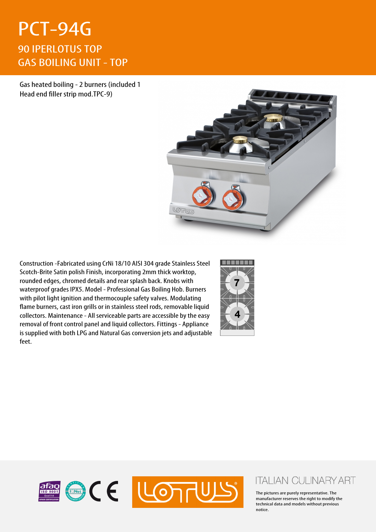## PCT-94G 90 IPERLOTUS TOP GAS BOILING UNIT - TOP

Gas heated boiling - 2 burners (included 1 Head end filler strip mod.TPC-9)



Construction -Fabricated using CrNi 18/10 AISI 304 grade Stainless Steel Scotch-Brite Satin polish Finish, incorporating 2mm thick worktop, rounded edges, chromed details and rear splash back. Knobs with waterproof grades IPX5. Model - Professional Gas Boiling Hob. Burners with pilot light ignition and thermocouple safety valves. Modulating flame burners, cast iron grills or in stainless steel rods, removable liquid collectors. Maintenance - All serviceable parts are accessible by the easy removal of front control panel and liquid collectors. Fittings - Appliance is supplied with both LPG and Natural Gas conversion jets and adjustable feet.





## **ITALIAN CULINARY ART**

The pictures are purely representative. The manufacturer reserves the right to modify the technical data and models without previous notice.